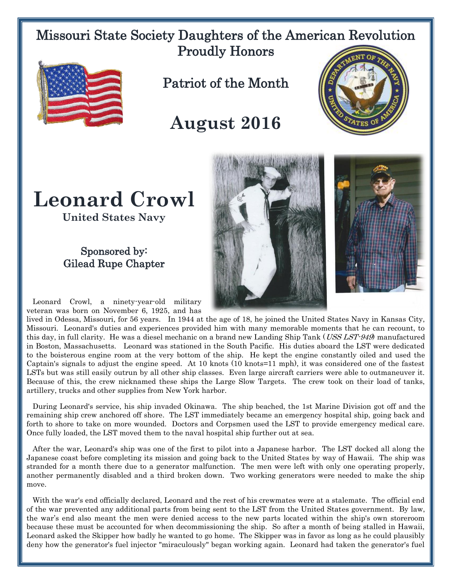## Missouri State Society Daughters of the American Revolution Proudly Honors



Patriot of the Month

## **August 2016**



## **Leonard Crowl**

**United States Navy**

## Sponsored by: Gilead Rupe Chapter

 Leonard Crowl, a ninety-year-old military veteran was born on November 6, 1925, and has

lived in Odessa, Missouri, for 56 years. In 1944 at the age of 18, he joined the United States Navy in Kansas City, Missouri. Leonard's duties and experiences provided him with many memorable moments that he can recount, to this day, in full clarity. He was a diesel mechanic on a brand new Landing Ship Tank (USS LST-949) manufactured in Boston, Massachusetts. Leonard was stationed in the South Pacific. His duties aboard the LST were dedicated to the boisterous engine room at the very bottom of the ship. He kept the engine constantly oiled and used the Captain's signals to adjust the engine speed. At 10 knots (10 knots=11 mph), it was considered one of the fastest LSTs but was still easily outrun by all other ship classes. Even large aircraft carriers were able to outmaneuver it. Because of this, the crew nicknamed these ships the Large Slow Targets. The crew took on their load of tanks, artillery, trucks and other supplies from New York harbor.

 During Leonard's service, his ship invaded Okinawa. The ship beached, the 1st Marine Division got off and the remaining ship crew anchored off shore. The LST immediately became an emergency hospital ship, going back and forth to shore to take on more wounded. Doctors and Corpsmen used the LST to provide emergency medical care. Once fully loaded, the LST moved them to the naval hospital ship further out at sea.

 After the war, Leonard's ship was one of the first to pilot into a Japanese harbor. The LST docked all along the Japanese coast before completing its mission and going back to the United States by way of Hawaii. The ship was stranded for a month there due to a generator malfunction. The men were left with only one operating properly, another permanently disabled and a third broken down. Two working generators were needed to make the ship move.

 With the war's end officially declared, Leonard and the rest of his crewmates were at a stalemate. The official end of the war prevented any additional parts from being sent to the LST from the United States government. By law, the war's end also meant the men were denied access to the new parts located within the ship's own storeroom because these must be accounted for when decommissioning the ship. So after a month of being stalled in Hawaii, Leonard asked the Skipper how badly he wanted to go home. The Skipper was in favor as long as he could plausibly deny how the generator's fuel injector "miraculously" began working again. Leonard had taken the generator's fuel